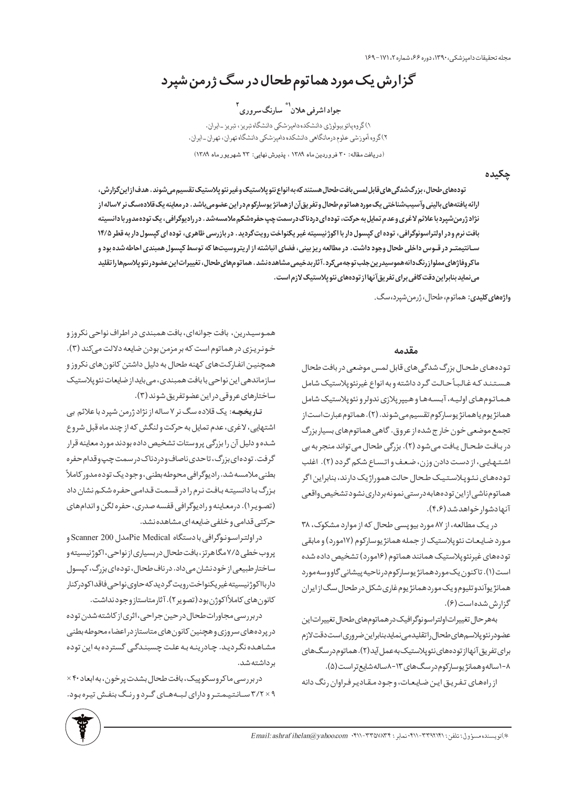مجله تحقيقات داميزشكي، ١٣٩٠، دوره ۶۶، شماره ٢، ١٧١-١۶٩

گزارش یک مورد هماتوم طحال در سگ ژرمن شپرد

جواد اشرفي هلان<sup>`"</sup> سارنگ سروري <sup>ا</sup> ١) گروه پاتو بیولوژي دانشكده دامپزشكي دانشگاه تبريز ، تبريز ـايران. ۲)گروه آموزشی علوم درمانگاهی دانشکده دامپزشکی دانشگاه تهران، تهران ـ ایران. (دریافت مقاله: ٣٠ فروردین ماه ١٣٨٩ ، پذیرش نهایی: ٢٣ شهریور ماه ١٣٨٩)

يكيده

تودههای طحال، بزرگشدگی های قابل لمس بافت طحال هستند که به انواع نئو پلاستیک وغیر نئو پلاستیک تقسیم می شوند . هدف از اینگزارش، ارائه یافتههای بالینی وآسیبشناختی یک مورد هماتوم طحال و تفریقآن از همانژ یوسارکوم در این عضومی باشد. در معاینه یک قلادهسگ نر ۷ساله از نژاد ژرمن شپرد با علائم لاغری وعدم تمایل به حرکت، توده ای دردناک درسمت چپ حفرهشکم ملامسه شد . در رادیوگرافی، یک توده مدور با دانسیته بافت نرم و در اولتراسونوگرافی، توده ای کپسول دار با اکوژنیسیته غیر یکنواخت رویتگردید. در بازرسی ظاهری، توده ای کپسول دار به قطر ۱۴/۵ سـانتیمتـر در قـوس داخلی طحال وجود داشت. در مطالعه ریز بینی، فضای انباشته از اریتروسیتها که توسط کپسول همبندی احاطه شده بود و ماکروفاژهای،ملوازرنگدانههموسیدرینجلبتوجهمیکرد.آثاربدخیمی،مشاهدهنشد. هماتومهای طحال، تغییراتاینعضودرنئوپلاسمهاراتقلید می نماید بنابراین دقت کافی برای تفریق آنها از تودههای نئو پلاستیک لازم است.

**واژههای کلیدی:** هماتوم، طحال، ژرمن شپرد، سگ.

## مقدمه

تودههای طحال بزرگ شدگیهای قابل لمس موضعی در بافت طحال هستند كه غالباً حالت گرد داشته وبه انواع غيرنئوپلاستيك شامل هماتومهای اولیه، آبسهها و هیپرپلازی ندولرو نئوپلاستیک شامل همانژیوم یاهمانژیوسارکوم تقسیم میشوند. (۲). هماتوم عبارت است از تجمع موضعی خون خارج شده از عروق. گاهی هماتومهای بسیار بزرگ در بافت طحال یافت می شود (۲). بزرگی طحال می تواند منجر به بی اشتهایی، از دست دادن وزن، ضعف و اتساع شکم گردد (۲). اغلب تودههای نئوپلاستیک طحال حالت هموراژیک دارند، بنابراین اگر هماتومناشىازاين تودههابهدرستىنمونهبردارىنشودتشخيص واقعى آنهادشوار خواهدشد (۴،۶).

در یک مطالعه، از ۸۷ مورد بیوپسی طحال که از موارد مشکوک، ۳۸ مورد ضایعات نئوپلاستیک از جمله همانژ یوسارکوم (۱۷مورد) و مابقی تودههای غیرنئوپلاستیک همانند هماتوم (۱۶مورد) تشخیص داده شده است(۱). تاکنون یک موردهمانژیوسارکومدرناحیه پیشانی گاووسه مورد همانژ یوآندوتلیوم ویک موردهمانژ یوم غاری شکل در طحال سگ از ایران گزارش شده است (۶).

بههرحال تغييراتاولتراسونوگرافيكدرهماتومهاى طحال تغييراتاين عضودرنئوپلاسمهای طحال راتقلیدمینمایدبنابراین ضروری استدقت لازم برای تفریق آنهااز تودههای نئوپلاستیک به عمل آید (۲). هماتوم در سگ های ٨-١ ساله وهمانژ يوساركوم در سگ0عاي ١٣-٨ ساله شايع تراست (۵).

از راههای تفریق این ضایعات، وجود مقادیر فراوان رنگ دانه

هموسیدرین، بافت جوانهای، بافت همبندی در اطراف نواحی نکروز و خونریزی در هماتوم است که بر مزمن بودن ضایعه دلالت میکند (۳). همچنین انفارکتهای کهنه طحال به دلیل داشتن کانونهای نکروز و سازماندهی این نواحی با بافت همبندی، می باید از ضایعات نئو پلاستیک ساختارهای عروقی دراین عضوتفریق شوند (٣).

**تـاریخچـه**: یک قلاده سگ نر ۷ ساله از نژاد ژرمن شپرد با علائم بی اشتهایی، لاغری، عدم تمایل به حرکت و لنگش که از چند ماه قبل شروع شده و دلیل آن را بزرگی پروستات تشخیص داده بودند مورد معاینه قرار گرفت. توده ای بزرگ، تاحدی ناصاف ودردناک در سمت چپ وقدام حفره بطنی ملامسه شد. رادیوگرافی محوطه بطنی، وجود یک توده مدور کاملاً بزرگ با دانسیته بافت نرم را در قسمت قدامی حفره شکم نشان داد (تصوير١). درمعاينه وراديوگرافي قفسه صدري، حفره لگن و اندامهاي حرکتبی قدامی و خلفی ضایعه ای مشاهده نشد.

در اولتراسونوگرافی با دستگاه Pie Medicalمدل 200 Scanner پروب خطی ۷/۵ مگا هرتز، بافت طحال در بسیاری از نواحی، اکوژنیسیته و ساختار طبیعی از خودنشان میداد. در ناف طحال، تودهای بزرگ، کپسول داربااكوژنيسيته غيريكنواخت رويت گرديد كه حاوى نواحى فاقداكودركنار كانون های كاملاًاكوژن بود(تصویر۲). آثارمتاستازوجودنداشت.

دربررسی مجاورات طحال در حین جراحی، اثری از کاشته شدن توده در پردههای سروزی و هچنین کانون های متاستاز در اعضاء محوطه بطنی مشاهده نگردید. چادرینه به علت چسبندگی گسترده به این توده بر داشته شد.

در بررسی ماکروسکوپیک، بافت طحال بشدت پرخون، به ابعاد ۴۰ × ا × ٣/٢ سـانتيمترو داراي لبـههـاي گـردورنـگ بنفش تيره بود.

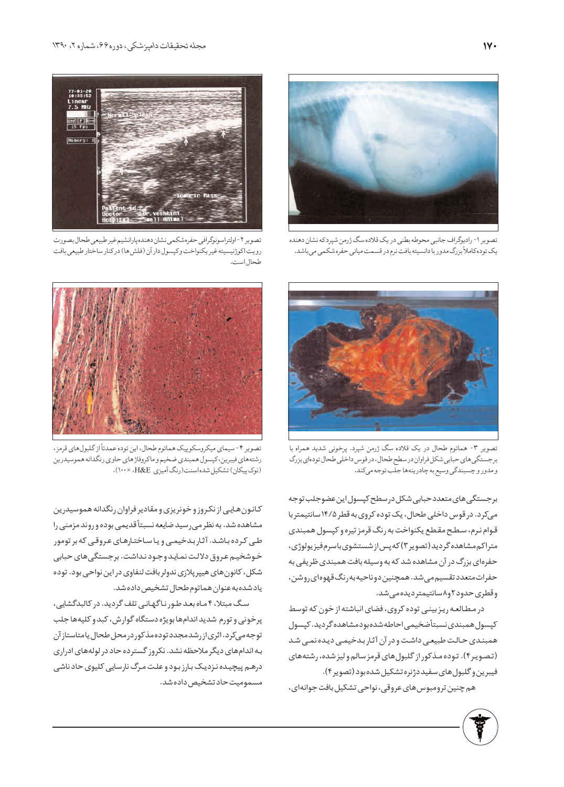

تصوير ١- راديوگراف جانبي محوطه بطني در يک قلاده سگ ژرمن شپردكه نشان دهنده یک توده کاملاً بزرگ مدور با دانسیته بافت نرم در قسمت میانی حفره شکمی می باشد.



تصوير ٢-اولتراسونوگرافي حفرهشكمي نشان دهنده پارانشيم غير طبيعي طحال بصورت رويت اكوژنيسيته غير يكنواخت وكپسول دار آن (فلش4) دركنار ساختار طبيعي بافت طحال است



تصویر ۳- هماتوم طحال در یک قلاده سگ ژرمن شپرد. پرخونی شدید همراه با برجستگی های حبابی شکل فراوان در سطح طحال، در قوس داخلی طحال تودهای بزرگ و مدور و چسبندگي وسيع به چادرينهها جلب توجه مي كند.

برجستگی های متعدد حبابی شکل در سطح کپسول این عضوجلب توجه میکرد. در قوس داخلی طحال، یک توده کروی به قطر ۱۴/۵ سانتیمتر با قوام نرم، سطح مقطع يكنواخت به رنگ قرمز تيره و كپسول همبندى متراكم مشاهده گرديد (تصوير۳) كه پس از شستشوى باسرم فيزيولوژى، حفرهای بزرگ در آن مشاهده شد که به وسیله بافت همبندی ظریفی به حفراتمتعدد تقسیم می شد. همچنین دوناحیه به رنگ قهوهای روشن، وقطرى حدود ٢و٨سانتيمتر ديده مى شد.

در مطالعه ریزبینی توده کروی، فضای انباشته از خون که توسط كپسول همبندى نسبتأضخيمى احاطه شده بودمشاهده گرديد. كپسول همبندی حالت طبیعی داشت و در آن آثار بدخیمی دیده نمی شد (تصویر۴). توده مذکور از گلبول های قرمز سالم ولیز شده، رشتههای فيبرين وكلبول هاي سفيد دژنره تشكيل شده بود (تصوير۴).

هم چنین ترومبوس های عروقی، نواحی تشکیل بافت جوانهای،



تصویر ۴- سیمای میکروسکوپیک هماتوم طحال، این توده عمدتاً از گلبول های قرمز، رشتههاي فيبرين، كپسول همبندي ضخيم و ماكروفاژهاي حاوي رنگدانه هموسيدرين (نوک پیکان) تشکیل شده اسنت (رنگ آمیزی H&E، ١٠٠×١٠٠).

كانون هايى از نكروز وخونريزي ومقادير فراوان رنگدانه هموسيدرين مشاهده شد. به نظر می رسید ضایعه نسبتاً قدیمی بوده و روند مزمنی را طی کرده باشد. آثار بدخیمی و یا ساختارهای عروقی که بر تومور خوشخیم عروق دلالت نماید وجود نداشت. برجستگی های حبابی شکل، کانون های هیپر پلازی ندولر بافت لنفاوی در این نواحی بود. توده ياد شده به عنوان هماتوم طحال تشخيص داده شد.

سگ مبتلا، ۴ ماه بعد طور ناگهانی تلف گردید. در کالبدگشایی، پرخونی و تورم شدید اندامها بویژه دستگاه گوارش، کبد و کلیهها جلب توجه می کرد. اثری از رشد مجدد توده مذکور در محل طحال یا متاستاز آن به اندام های دیگر ملاحظه نشد. نکروز گسترده حاد در لولههای ادراری درهم پیچیده نزدیک بارز بود و علت مرگ نارسایی کلیوی حاد ناشی مسموميت حاد تشخيص داده شد.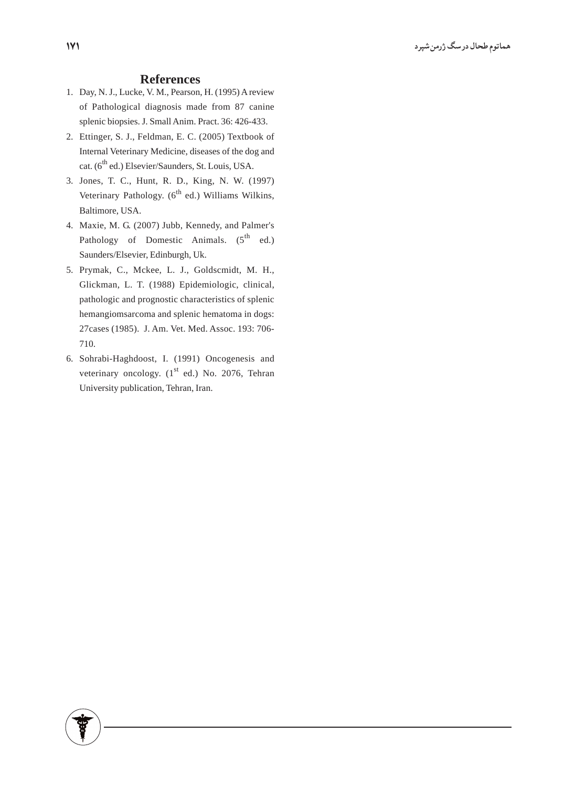## **References**

- 1. Day, N. J., Lucke, V. M., Pearson, H. (1995) A review of Pathological diagnosis made from 87 canine splenic biopsies. J. Small Anim. Pract. 36: 426-433.
- 2. Ettinger, S. J., Feldman, E. C. (2005) Textbook of Internal Veterinary Medicine, diseases of the dog and cat. (6<sup>th</sup> ed.) Elsevier/Saunders, St. Louis, USA.
- 3. Jones, T. C., Hunt, R. D., King, N. W. (1997) Veterinary Pathology. (6<sup>th</sup> ed.) Williams Wilkins, Baltimore, USA.
- 4. Maxie, M. G. (2007) Jubb, Kennedy, and Palmer's Pathology of Domestic Animals.  $(5^{th}$  ed.) Saunders/Elsevier, Edinburgh, Uk.
- 5. Prymak, C., Mckee, L. J., Goldscmidt, M. H., Glickman, L. T. (1988) Epidemiologic, clinical, pathologic and prognostic characteristics of splenic hemangiomsarcoma and splenic hematoma in dogs: 27cases (1985). J. Am. Vet. Med. Assoc. 193: 706-710.
- 6. Sohrabi-Haghdoost, I. (1991) Oncogenesis and veterinary oncology. (1<sup>st</sup> ed.) No. 2076, Tehran University publication, Tehran, Iran.